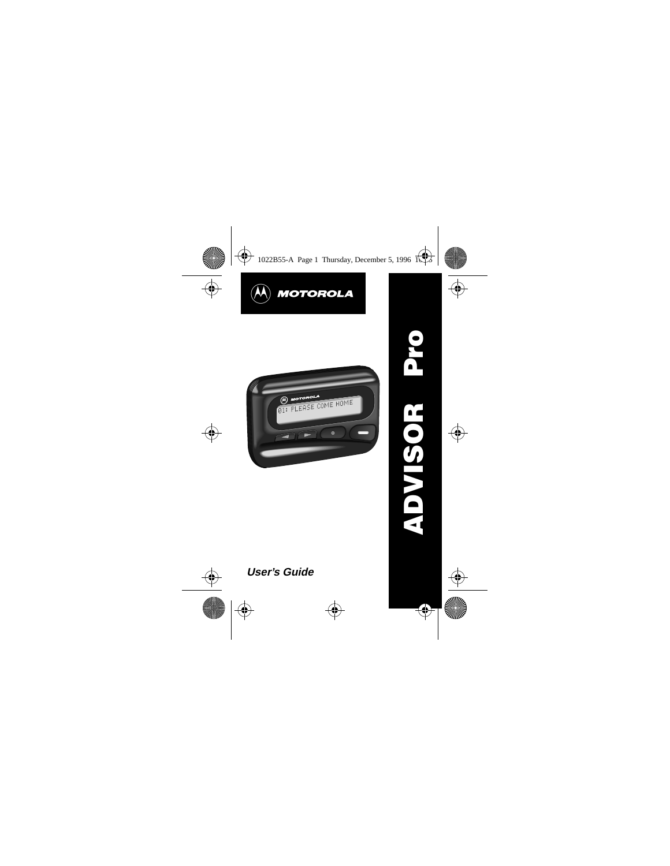



# **User's Guide**

**ADVISOR Pro**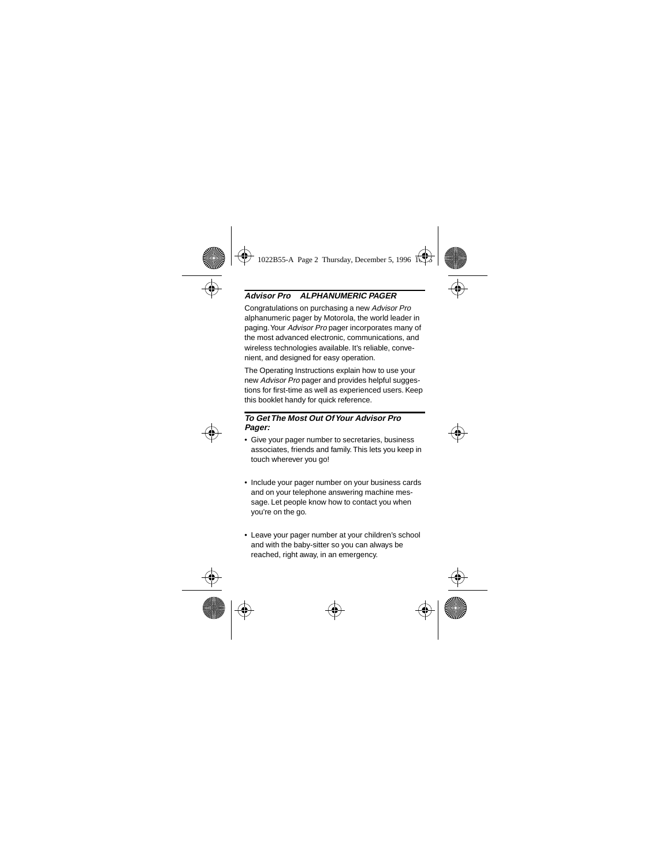### **Advisor Pro ALPHANUMERIC PAGER**

Congratulations on purchasing a new Advisor Pro alphanumeric pager by Motorola, the world leader in paging. Your Advisor Pro pager incorporates many of the most advanced electronic, communications, and wireless technologies available. It's reliable, convenient, and designed for easy operation.

The Operating Instructions explain how to use your new Advisor Pro pager and provides helpful suggestions for first-time as well as experienced users. Keep this booklet handy for quick reference.

#### **To Get The Most Out Of Your Advisor Pro Pager:**

- Give your pager number to secretaries, business associates, friends and family. This lets you keep in touch wherever you go!
- Include your pager number on your business cards and on your telephone answering machine message. Let people know how to contact you when you're on the go.
- Leave your pager number at your children's school and with the baby-sitter so you can always be reached, right away, in an emergency.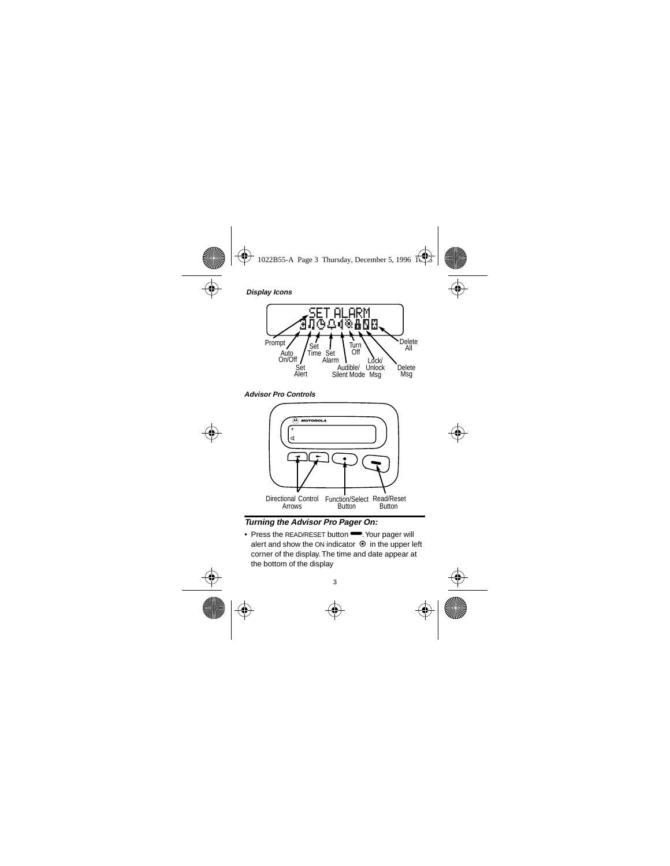

**Advisor Pro Controls** 



Turning the Advisor Pro Pager On:

• Press the READ/RESET button • Your pager will alert and show the ON indicator ⊙ in the upper left corner of the display. The time and date appear at the bottom of the display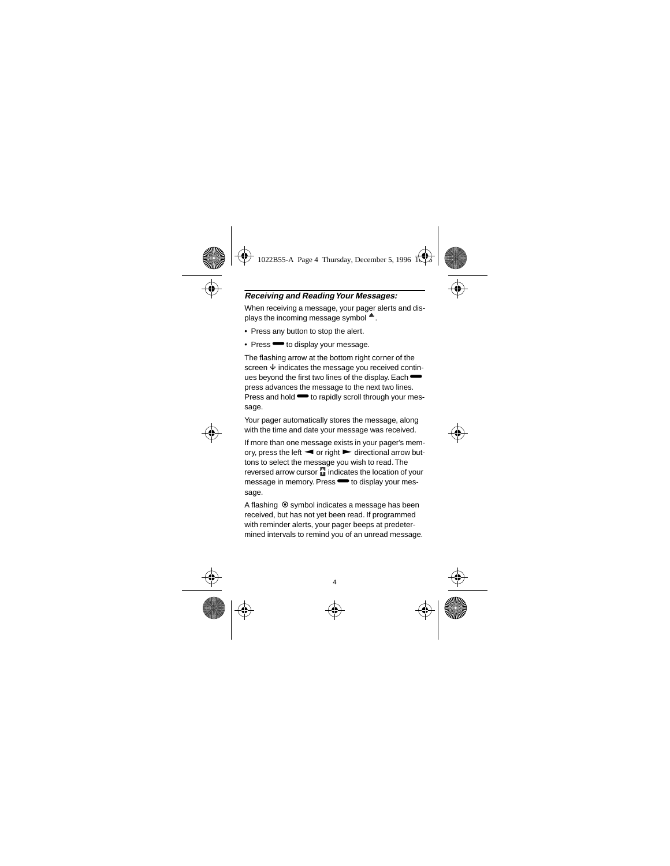### **Receiving and Reading Your Messages:**

When receiving a message, your pager alerts and displays the incoming message symbol  $\triangleq$ .

- Press any button to stop the alert.
- Press  $\blacksquare$  to display your message.

The flashing arrow at the bottom right corner of the screen  $\ddot{\textbf{u}}$  indicates the message you received continues beyond the first two lines of the display. Each  $\blacksquare$ press advances the message to the next two lines. Press and hold  $\rightarrow$  to rapidly scroll through your message.

Your pager automatically stores the message, along with the time and date your message was received.

If more than one message exists in your pager's memory, press the left  $\blacktriangleleft$  or right  $\blacktriangleright$  directional arrow buttons to select the message you wish to read. The reversed arrow cursor **F** indicates the location of your message in memory. Press  $\rightarrow$  to display your message.

A flashing  $\odot$  symbol indicates a message has been received, but has not yet been read. If programmed with reminder alerts, your pager beeps at predetermined intervals to remind you of an unread message.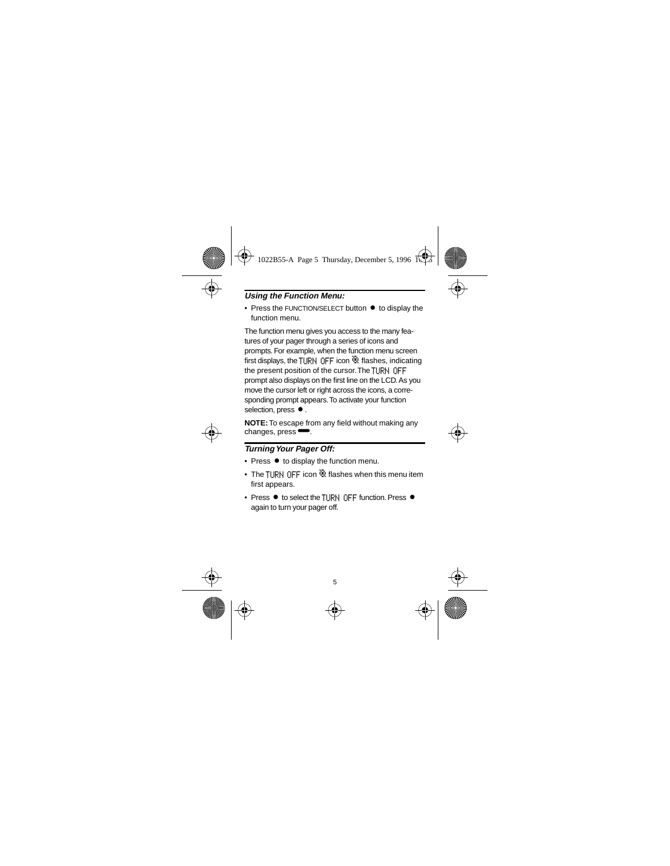### **Using the Function Menu:**

 $\bullet$  Press the FUNCTION/SELECT button  $\bullet$  to display the function menu.

The function menu gives you access to the many features of your pager through a series of icons and prompts. For example, when the function menu screen first displays, the TURN OFF icon  $\ddot{w}$  flashes, indicating the present position of the cursor. The TURN OFF prompt also displays on the first line on the LCD. As you move the cursor left or right across the icons, a corresponding prompt appears. To activate your function selection, press  $\bullet$ .

**NOTE:** To escape from any field without making any changes, press $\blacktriangleright$ .

#### **Turning Your Pager Off:**

- $\bullet$  Press  $\bullet$  to display the function menu.
- The TURN OFF icon  $\ddot{\mathbb{Q}}$  flashes when this menu item first appears.
- Press  $\bullet$  to select the THRN OFF function. Press  $\bullet$ again to turn your pager off.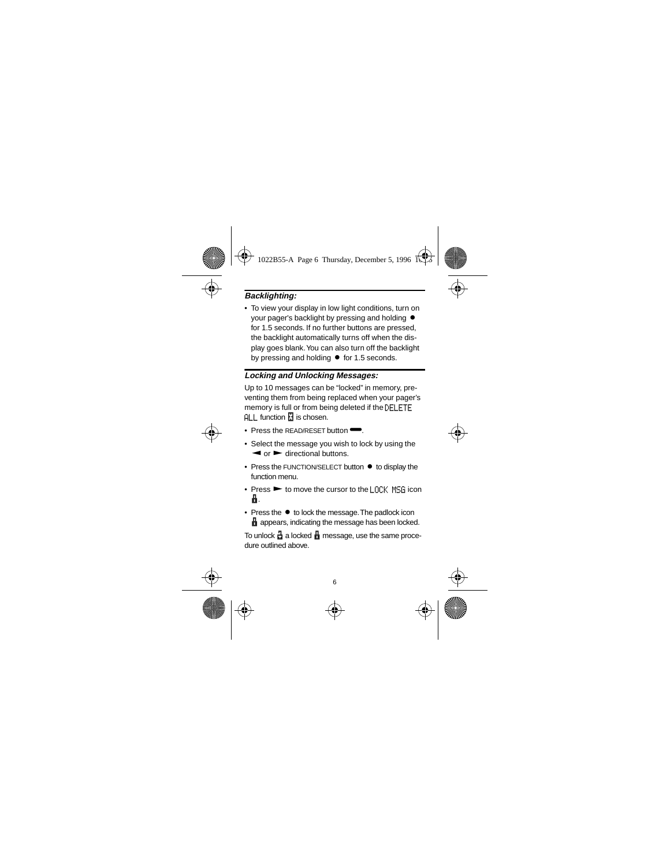## **Backlighting:**

• To view your display in low light conditions, turn on your pager's backlight by pressing and holding  $\bullet$ for 1.5 seconds. If no further buttons are pressed, the backlight automatically turns off when the display goes blank. You can also turn off the backlight by pressing and holding  $\bullet$  for 1.5 seconds.

#### **Locking and Unlocking Messages:**

Up to 10 messages can be "locked" in memory, preventing them from being replaced when your pager's memory is full or from being deleted if the DFLFTF  $AI$  I function  $I$  is chosen.

- Press the READ/RESET button
- Select the message you wish to lock by using the  $\blacktriangleleft$  or  $\blacktriangleright$  directional buttons.
- $\bullet$  Press the FUNCTION/SELECT button  $\bullet$  to display the function menu.
- Press  $\blacktriangleright$  to move the cursor to the LOCK MSG icon í.
- $\bullet$  Press the  $\bullet$  to lock the message. The padlock icon **A** appears, indicating the message has been locked.

To unlock  $\frac{1}{11}$  a locked  $\frac{1}{11}$  message, use the same procedure outlined above.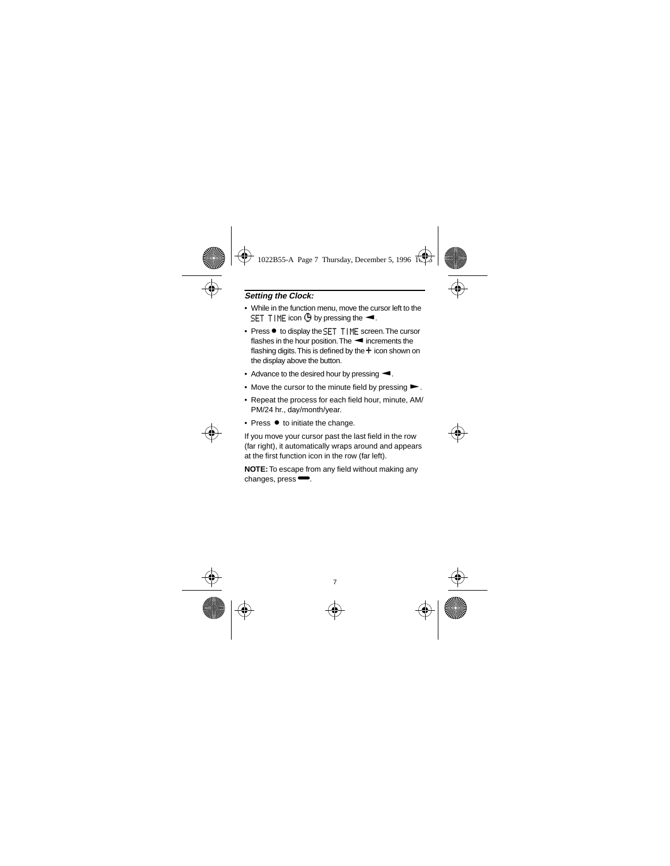### **Setting the Clock:**

- While in the function menu, move the cursor left to the SET TIME icon  $\ddot{\mathbf{G}}$  by pressing the  $\blacktriangleleft$ .
- Press to display the SET TIME screen. The cursor flashes in the hour position. The  $\blacktriangleleft$  increments the flashing digits. This is defined by the  $+$  icon shown on the display above the button.
- Advance to the desired hour by pressing  $\blacktriangleleft$ .
- Move the cursor to the minute field by pressing  $\blacktriangleright$ .
- Repeat the process for each field hour, minute, AM/ PM/24 hr., day/month/year.
- $\bullet$  Press  $\bullet$  to initiate the change.

If you move your cursor past the last field in the row (far right), it automatically wraps around and appears at the first function icon in the row (far left).

**NOTE:** To escape from any field without making any changes, press $\blacksquare$ .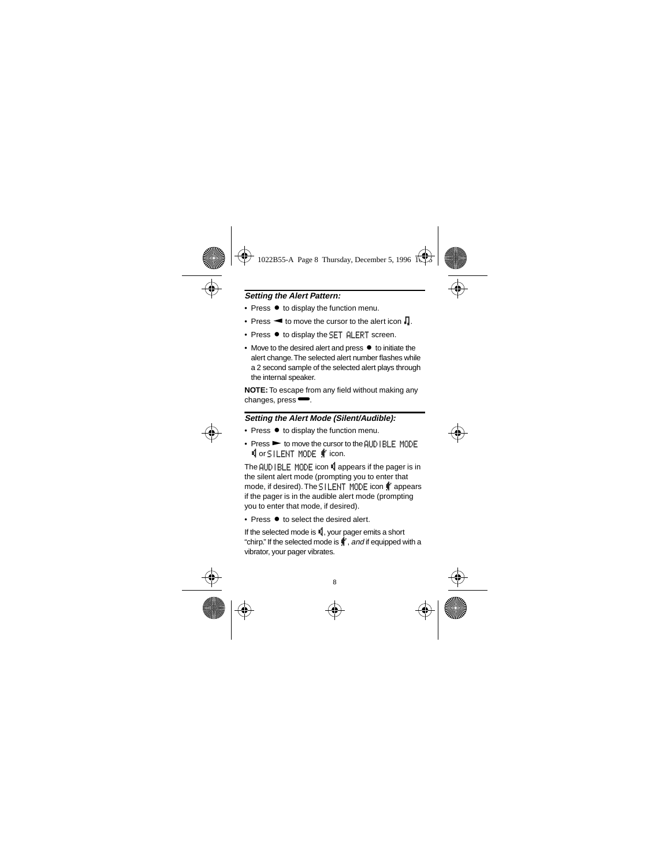### **Setting the Alert Pattern:**

- Press  $\bullet$  to display the function menu.
- Press  $\blacktriangleleft$  to move the cursor to the alert icon  $\Box$ .
- $\bullet$  Press  $\bullet$  to display the SET ALERT screen.
- Move to the desired alert and press  $\bullet$  to initiate the alert change. The selected alert number flashes while a 2 second sample of the selected alert plays through the internal speaker.

**NOTE:** To escape from any field without making any changes, press $\blacksquare$ .

### **Setting the Alert Mode (Silent/Audible):**

- Press  $\bullet$  to display the function menu.
- Press  $\blacktriangleright$  to move the cursor to the AUDIBLE MODE **Ú** or SILENT MODE  $\textbf{f}$  icon.

The AUDIBLE MODE icon Lappears if the pager is in the silent alert mode (prompting you to enter that mode, if desired). The SILENT MODE icon  $\mathbf{\mathring{F}}$  appears if the pager is in the audible alert mode (prompting you to enter that mode, if desired).

• Press  $\bullet$  to select the desired alert.

If the selected mode is  $\blacksquare$ , your pager emits a short "chirp." If the selected mode is  $\ddagger$ , and if equipped with a vibrator, your pager vibrates.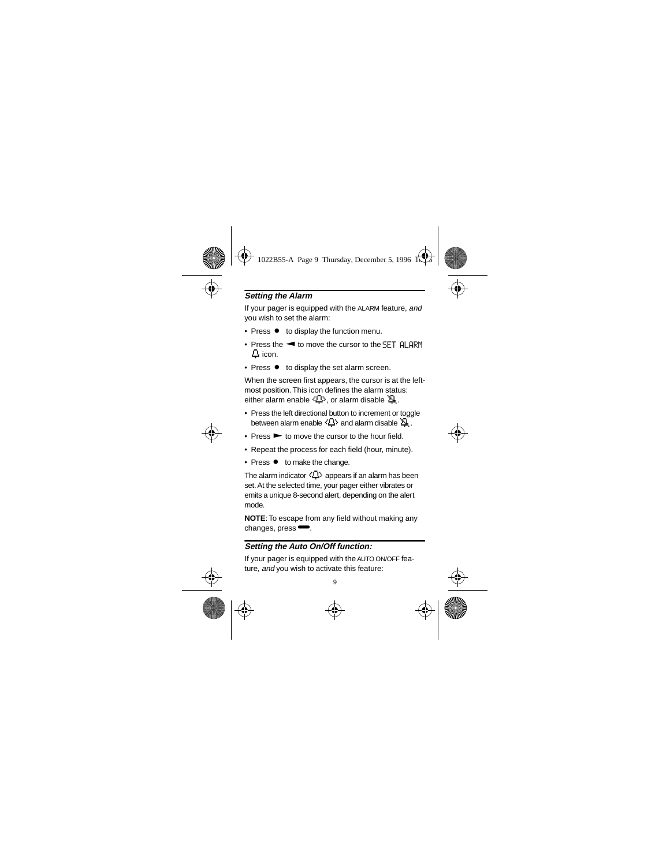### **Setting the Alarm**

If your pager is equipped with the ALARM feature, and you wish to set the alarm:

- Press  $\bullet$  to display the function menu.
- Press the  $\blacktriangleleft$  to move the cursor to the SET ALARM  $\Delta$  icon.
- Press  $\bullet$  to display the set alarm screen.

When the screen first appears, the cursor is at the leftmost position. This icon defines the alarm status: either alarm enable  $\langle \mathbf{D} \rangle$ , or alarm disable  $\mathbf{\Delta}$ .

- Press the left directional button to increment or toggle between alarm enable  $\langle \mathbf{D} \rangle$  and alarm disable  $\mathbf{\tilde{\Sigma}}$ .
- $\bullet$  Press  $\blacktriangleright$  to move the cursor to the hour field.
- Repeat the process for each field (hour, minute).
- Press  $\bullet$  to make the change.

The alarm indicator  $\langle \Box \rangle$  appears if an alarm has been set. At the selected time, your pager either vibrates or emits a unique 8-second alert, depending on the alert mode.

**NOTE**: To escape from any field without making any changes, press $\blacksquare$ .

#### **Setting the Auto On/Off function:**

If your pager is equipped with the AUTO ON/OFF feature, and you wish to activate this feature: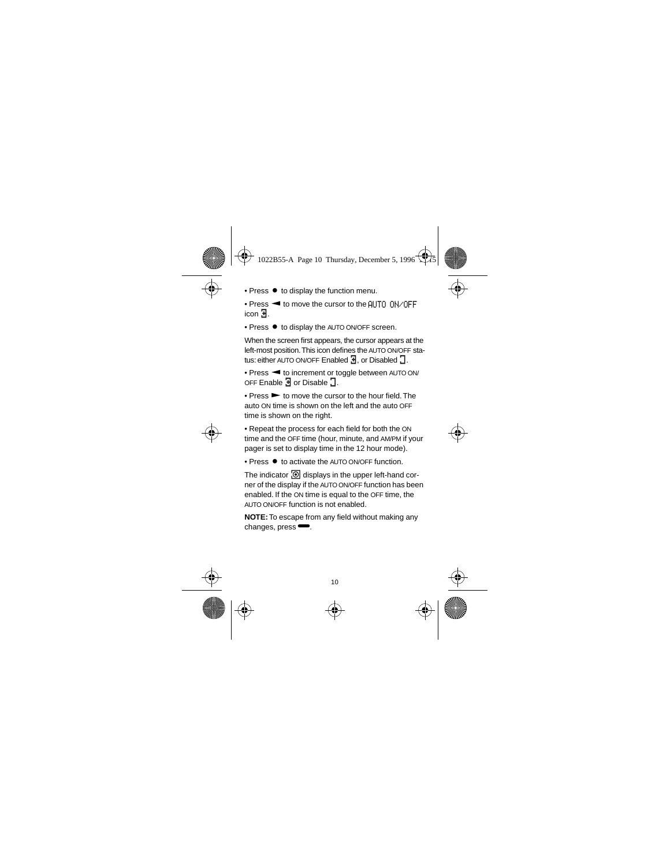- Press  $\bullet$  to display the function menu.
- $\bullet$  Press  $\blacktriangleleft$  to move the cursor to the AUTO ON/OFF icon å.
- Press  $\bullet$  to display the AUTO ON/OFF screen.

When the screen first appears, the cursor appears at the left-most position. This icon defines the AUTO ON/OFF status: either AUTO ON/OFF Enabled **3**, or Disabled **3**.

• Press < to increment or toggle between AUTO ON/ OFF Enable  $\overline{3}$  or Disable  $\overline{3}$ .

 $\bullet$  Press  $\bullet$  to move the cursor to the hour field. The auto ON time is shown on the left and the auto OFF time is shown on the right.

• Repeat the process for each field for both the ON time and the OFF time (hour, minute, and AM/PM if your pager is set to display time in the 12 hour mode).

• Press  $\bullet$  to activate the AUTO ON/OFF function.

The indicator  $\overline{\odot}$  displays in the upper left-hand corner of the display if the AUTO ON/OFF function has been enabled. If the ON time is equal to the OFF time, the AUTO ON/OFF function is not enabled.

**NOTE:** To escape from any field without making any changes, press $\blacksquare$ .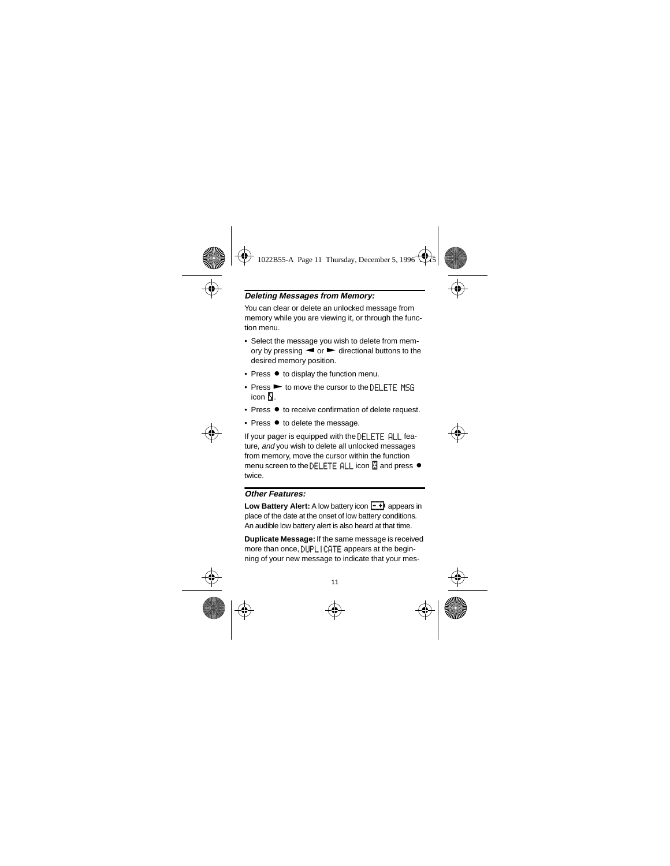### **Deleting Messages from Memory:**

You can clear or delete an unlocked message from memory while you are viewing it, or through the function menu.

- Select the message you wish to delete from memory by pressing  $\blacktriangleleft$  or  $\blacktriangleright$  directional buttons to the desired memory position.
- $\bullet$  Press  $\bullet$  to display the function menu.
- Press  $\blacktriangleright$  to move the cursor to the DELETE MSG. icon  $\mathbb{N}$ .
- $\bullet$  Press  $\bullet$  to receive confirmation of delete request.
- $\bullet$  Press  $\bullet$  to delete the message.

If your pager is equipped with the DELETF ALL feature, and you wish to delete all unlocked messages from memory, move the cursor within the function menu screen to the DELETE  $ALL$  icon  $R$  and press  $\bullet$ twice.

#### **Other Features:**

**Low Battery Alert:** A low battery icon  $\overline{I}$  + appears in place of the date at the onset of low battery conditions. An audible low battery alert is also heard at that time.

**Duplicate Message:** If the same message is received more than once, DUPLICATE appears at the beginning of your new message to indicate that your mes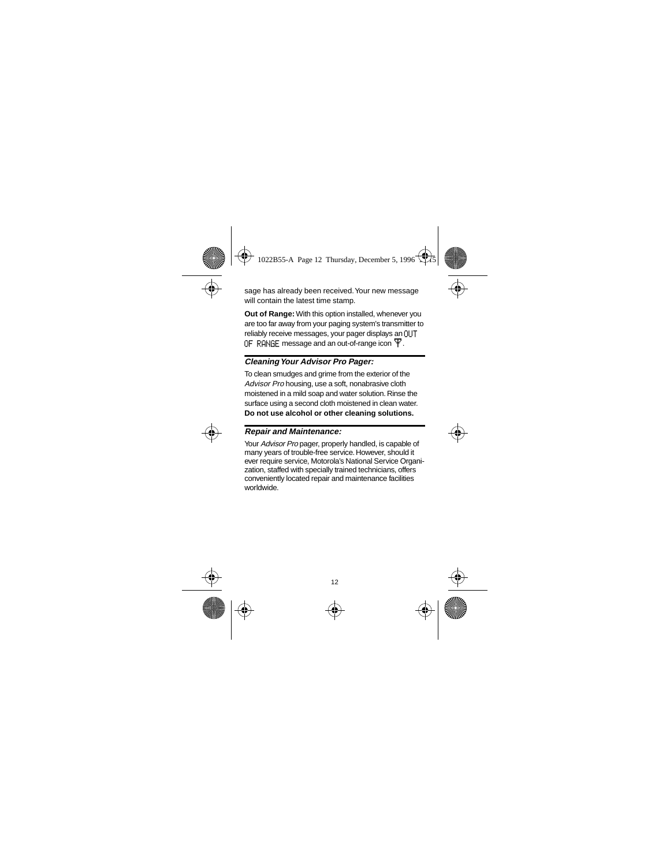sage has already been received. Your new message will contain the latest time stamp.

**Out of Range:** With this option installed, whenever you are too far away from your paging system's transmitter to reliably receive messages, your pager displays an OLIT OF RANGE message and an out-of-range icon  $\mathbf{\Psi}$ .

#### **Cleaning Your Advisor Pro Pager:**

To clean smudges and grime from the exterior of the Advisor Pro housing, use a soft, nonabrasive cloth moistened in a mild soap and water solution. Rinse the surface using a second cloth moistened in clean water. **Do not use alcohol or other cleaning solutions.**

#### **Repair and Maintenance:**

Your Advisor Pro pager, properly handled, is capable of many years of trouble-free service. However, should it ever require service, Motorola's National Service Organization, staffed with specially trained technicians, offers conveniently located repair and maintenance facilities worldwide.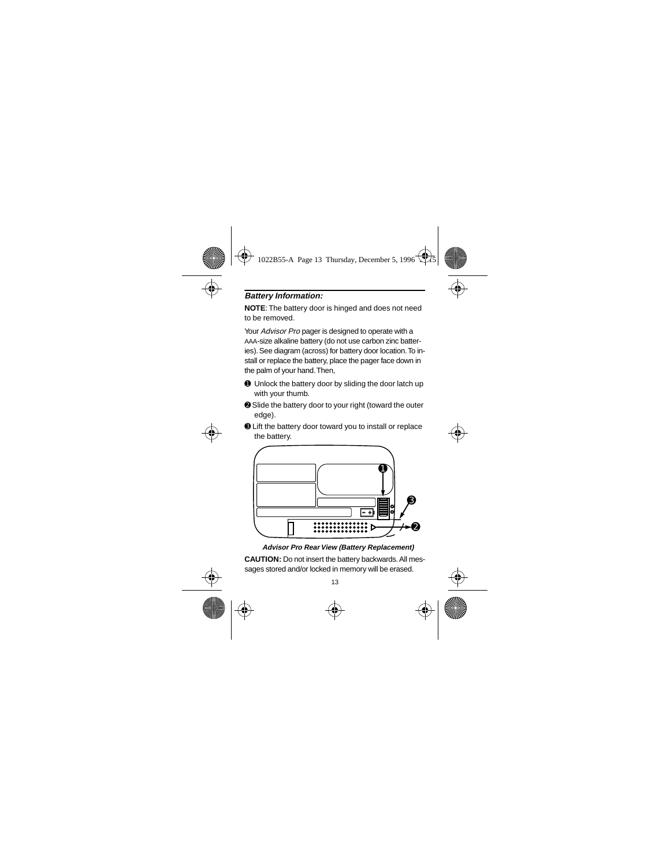### **Battery Information:**

**NOTE**: The battery door is hinged and does not need to be removed.

Your Advisor Pro pager is designed to operate with a AAA-size alkaline battery (do not use carbon zinc batteries). See diagram (across) for battery door location. To install or replace the battery, place the pager face down in the palm of your hand. Then,

- ➊ Unlock the battery door by sliding the door latch up with your thumb.
- **<sup>●</sup>** Slide the battery door to your right (toward the outer edge).
- ➌ Lift the battery door toward you to install or replace the battery.



**Advisor Pro Rear View (Battery Replacement)**

**CAUTION:** Do not insert the battery backwards. All messages stored and/or locked in memory will be erased.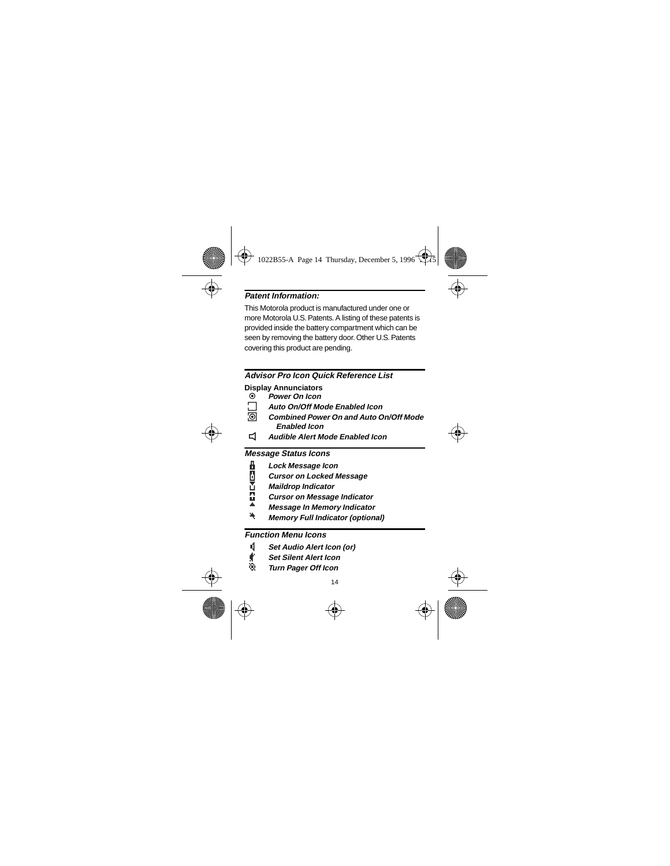### **Patent Information**

This Motorola product is manufactured under one or more Motorola U.S. Patents. A listing of these patents is provided inside the battery compartment which can be seen by removing the battery door. Other U.S. Patents covering this product are pending.

#### **Advisor Pro Icon Quick Reference List**

#### **Display Annunciators**

 $\odot$ **Power On Icon** 

**O** 

- Auto On/Off Mode Enabled Icon
	- Combined Power On and Auto On/Off Mode **Enabled Icon**
- </sub>⊿ **Audible Alert Mode Enabled Icon**

#### **Message Status Icons**

- Lock Message Icon
- **Cursor on Locked Message**
- **Maildrop Indicator**
- **Cursor on Message Indicator**
- **Message In Memory Indicator**
- 4 **Memory Full Indicator (optional)**

#### **Function Menu Icons**

- q Set Audio Alert Icon (or)
- ť **Set Silent Alert Icon**
- Ø **Turn Pager Off Icon**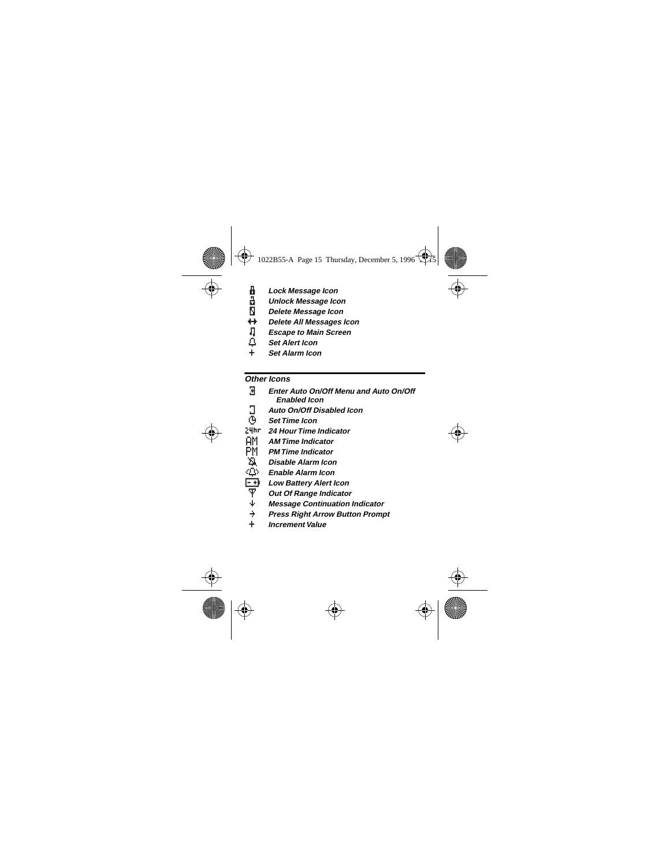- -0300 Lock Message Icon
	- **Unlock Message Icon**
	- Delete Message Icon
	- Delete All Messages Icon
	- **Escape to Main Screen**
- **Set Alert Icon**
- **Set Alarm Icon**

### Other Icons

| Я    | Enter Auto On/Off Menu and Auto On/Off<br>Enabled Icon |
|------|--------------------------------------------------------|
| Э    | Auto On/Off Disabled Icon                              |
| Φ,   | <b>Set Time Icon</b>                                   |
| 24hr | 24 Hour Time Indicator                                 |
| ΑM   | <b>AM Time Indicator</b>                               |
| РM   | <b>PM Time Indicator</b>                               |
| Δ    | Disable Alarm Icon                                     |
| ۰Q۰  | Enable Alarm Icon                                      |
| - +) | Low Battery Alert Icon                                 |
| Ŧ    | Out Of Range Indicator                                 |
| ψ    | <b>Message Continuation Indicator</b>                  |
| ÷    | <b>Press Right Arrow Button Prompt</b>                 |
|      | <i><b>Increment Value</b></i>                          |